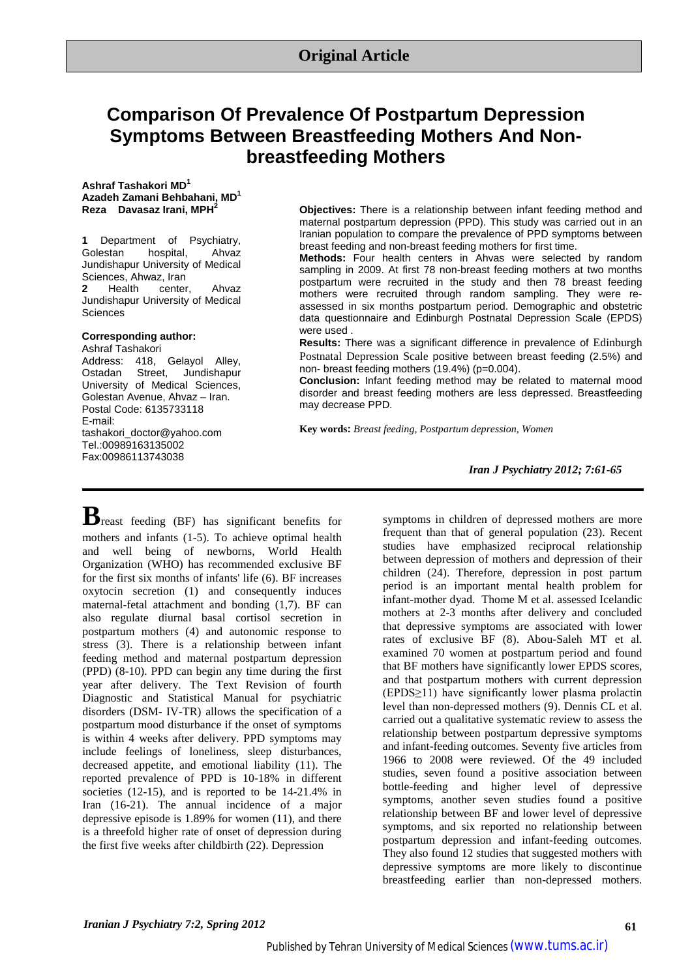# **Comparison Of Prevalence Of Postpartum Depression Symptoms Between Breastfeeding Mothers And Nonbreastfeeding Mothers**

**Ashraf Tashakori MD1 Azadeh Zamani Behbahani, MD1 Reza Davasaz Irani, MPH2**

**1** Department of Psychiatry,<br>Golestan hospital, Ahvaz hospital. Jundishapur University of Medical Sciences, Ahwaz, Iran<br>2 Health center. **2** Health center, Ahvaz Jundishapur University of Medical **Sciences** 

#### **Corresponding author:**

Ashraf Tashakori Address: 418, Gelayol Alley,<br>Ostadan Street. Jundishapur Street, Jundishapur University of Medical Sciences, Golestan Avenue, Ahvaz – Iran. Postal Code: 6135733118 E-mail: tashakori\_doctor@yahoo.com Tel.:00989163135002 Fax:00986113743038

**Objectives:** There is a relationship between infant feeding method and maternal postpartum depression (PPD). This study was carried out in an Iranian population to compare the prevalence of PPD symptoms between breast feeding and non-breast feeding mothers for first time.

**Methods:** Four health centers in Ahvas were selected by random sampling in 2009. At first 78 non-breast feeding mothers at two months postpartum were recruited in the study and then 78 breast feeding mothers were recruited through random sampling. They were reassessed in six months postpartum period. Demographic and obstetric data questionnaire and Edinburgh Postnatal Depression Scale (EPDS) were used .

**Results:** There was a significant difference in prevalence of Edinburgh Postnatal Depression Scale positive between breast feeding (2.5%) and non- breast feeding mothers (19.4%) (p=0.004).

**Conclusion:** Infant feeding method may be related to maternal mood disorder and breast feeding mothers are less depressed. Breastfeeding may decrease PPD.

**Key words:** *Breast feeding, Postpartum depression, Women*

*Iran J Psychiatry 2012; 7:61-65*

**B**reast feeding (BF) has significant benefits for mothers and infants (1-5). To achieve optimal health and well being of newborns, World Health Organization (WHO) has recommended exclusive BF for the first six months of infants' life (6). BF increases oxytocin secretion (1) and consequently induces maternal-fetal attachment and bonding (1,7). BF can also regulate diurnal basal cortisol secretion in postpartum mothers (4) and autonomic response to stress (3). There is a relationship between infant feeding method and maternal postpartum depression (PPD) (8-10). PPD can begin any time during the first year after delivery. The Text Revision of fourth Diagnostic and Statistical Manual for psychiatric disorders (DSM- IV-TR) allows the specification of a postpartum mood disturbance if the onset of symptoms is within 4 weeks after delivery. PPD symptoms may include feelings of loneliness, sleep disturbances, decreased appetite, and emotional liability (11). The reported prevalence of PPD is 10-18% in different societies (12-15), and is reported to be 14-21.4% in Iran (16-21). The annual incidence of a major depressive episode is 1.89% for women (11), and there is a threefold higher rate of onset of depression during the first five weeks after childbirth (22). Depression

symptoms in children of depressed mothers are more frequent than that of general population (23). Recent studies have emphasized reciprocal relationship between depression of mothers and depression of their children (24). Therefore, depression in post partum period is an important mental health problem for infant-mother dyad. Thome M et al. assessed Icelandic mothers at 2-3 months after delivery and concluded that depressive symptoms are associated with lower rates of exclusive BF (8). Abou-Saleh MT et al. examined 70 women at postpartum period and found that BF mothers have significantly lower EPDS scores, and that postpartum mothers with current depression (EPDS≥11) have significantly lower plasma prolactin level than non-depressed mothers (9). Dennis CL et al. carried out a qualitative systematic review to assess the relationship between postpartum depressive symptoms and infant-feeding outcomes. Seventy five articles from 1966 to 2008 were reviewed. Of the 49 included studies, seven found a positive association between bottle-feeding and higher level of depressive symptoms, another seven studies found a positive relationship between BF and lower level of depressive symptoms, and six reported no relationship between postpartum depression and infant-feeding outcomes. They also found 12 studies that suggested mothers with depressive symptoms are more likely to discontinue breastfeeding earlier than non-depressed mothers.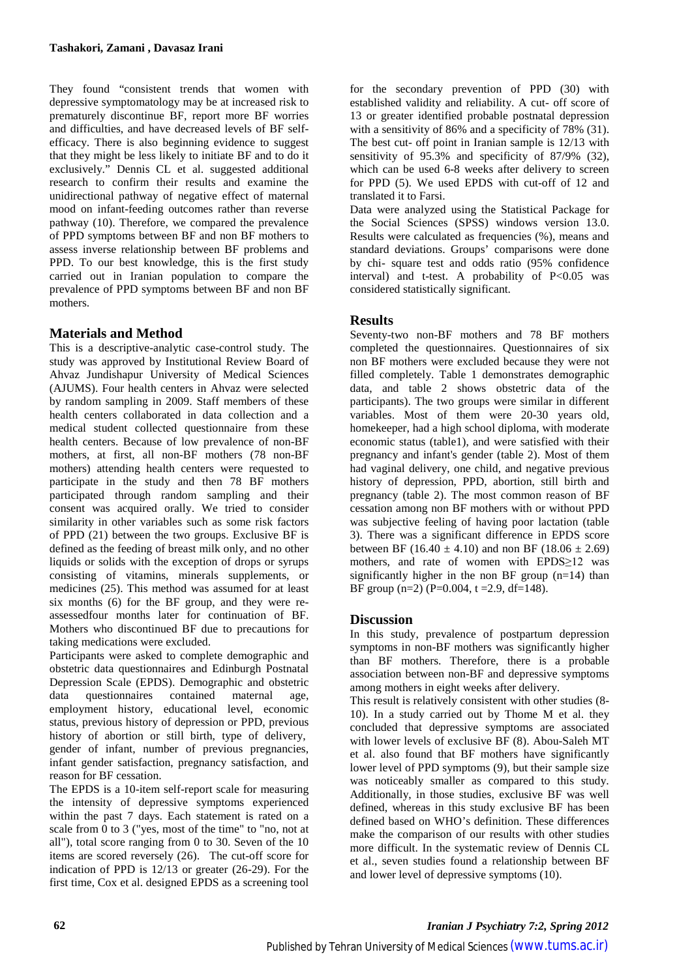They found "consistent trends that women with depressive symptomatology may be at increased risk to prematurely discontinue BF, report more BF worries and difficulties, and have decreased levels of BF selfefficacy. There is also beginning evidence to suggest that they might be less likely to initiate BF and to do it exclusively." Dennis CL et al. suggested additional research to confirm their results and examine the unidirectional pathway of negative effect of maternal mood on infant-feeding outcomes rather than reverse pathway (10). Therefore, we compared the prevalence of PPD symptoms between BF and non BF mothers to assess inverse relationship between BF problems and PPD. To our best knowledge, this is the first study carried out in Iranian population to compare the prevalence of PPD symptoms between BF and non BF mothers.

# **Materials and Method**

This is a descriptive-analytic case-control study. The study was approved by Institutional Review Board of Ahvaz Jundishapur University of Medical Sciences (AJUMS). Four health centers in Ahvaz were selected by random sampling in 2009. Staff members of these health centers collaborated in data collection and a medical student collected questionnaire from these health centers. Because of low prevalence of non-BF mothers, at first, all non-BF mothers (78 non-BF mothers) attending health centers were requested to participate in the study and then 78 BF mothers participated through random sampling and their consent was acquired orally. We tried to consider similarity in other variables such as some risk factors of PPD (21) between the two groups. Exclusive BF is defined as the feeding of breast milk only, and no other liquids or solids with the exception of drops or syrups consisting of vitamins, minerals supplements, or medicines (25). This method was assumed for at least six months (6) for the BF group, and they were reassessedfour months later for continuation of BF. Mothers who discontinued BF due to precautions for taking medications were excluded.

Participants were asked to complete demographic and obstetric data questionnaires and Edinburgh Postnatal Depression Scale (EPDS). Demographic and obstetric data questionnaires contained maternal age, employment history, educational level, economic status, previous history of depression or PPD, previous history of abortion or still birth, type of delivery, gender of infant, number of previous pregnancies, infant gender satisfaction, pregnancy satisfaction, and reason for BF cessation.

The EPDS is a 10-item self-report scale for measuring the intensity of depressive symptoms experienced within the past 7 days. Each statement is rated on a scale from 0 to 3 ("yes, most of the time" to "no, not at all"), total score ranging from 0 to 30. Seven of the 10 items are scored reversely (26). The cut-off score for indication of PPD is 12/13 or greater (26-29). For the first time, Cox et al. designed EPDS as a screening tool

for the secondary prevention of PPD (30) with established validity and reliability. A cut- off score of 13 or greater identified probable postnatal depression with a sensitivity of 86% and a specificity of 78% (31). The best cut- off point in Iranian sample is 12/13 with sensitivity of 95.3% and specificity of 87/9% (32), which can be used 6-8 weeks after delivery to screen for PPD (5). We used EPDS with cut-off of 12 and translated it to Farsi.

Data were analyzed using the Statistical Package for the Social Sciences (SPSS) windows version 13.0. Results were calculated as frequencies (%), means and standard deviations. Groups' comparisons were done by chi- square test and odds ratio (95% confidence interval) and t-test. A probability of  $P<0.05$  was considered statistically significant.

# **Results**

Seventy-two non-BF mothers and 78 BF mothers completed the questionnaires. Questionnaires of six non BF mothers were excluded because they were not filled completely. Table 1 demonstrates demographic data, and table 2 shows obstetric data of the participants). The two groups were similar in different variables. Most of them were 20-30 years old, homekeeper, had a high school diploma, with moderate economic status (table1), and were satisfied with their pregnancy and infant's gender (table 2). Most of them had vaginal delivery, one child, and negative previous history of depression, PPD, abortion, still birth and pregnancy (table 2). The most common reason of BF cessation among non BF mothers with or without PPD was subjective feeling of having poor lactation (table 3). There was a significant difference in EPDS score between BF (16.40  $\pm$  4.10) and non BF (18.06  $\pm$  2.69) mothers, and rate of women with EPDS≥12 was significantly higher in the non BF group  $(n=14)$  than BF group (n=2) (P=0.004, t =2.9, df=148).

### **Discussion**

In this study, prevalence of postpartum depression symptoms in non-BF mothers was significantly higher than BF mothers. Therefore, there is a probable association between non-BF and depressive symptoms among mothers in eight weeks after delivery.

This result is relatively consistent with other studies (8- 10). In a study carried out by Thome M et al. they concluded that depressive symptoms are associated with lower levels of exclusive BF (8). Abou-Saleh MT et al. also found that BF mothers have significantly lower level of PPD symptoms (9), but their sample size was noticeably smaller as compared to this study. Additionally, in those studies, exclusive BF was well defined, whereas in this study exclusive BF has been defined based on WHO's definition. These differences make the comparison of our results with other studies more difficult. In the systematic review of Dennis CL et al., seven studies found a relationship between BF and lower level of depressive symptoms (10).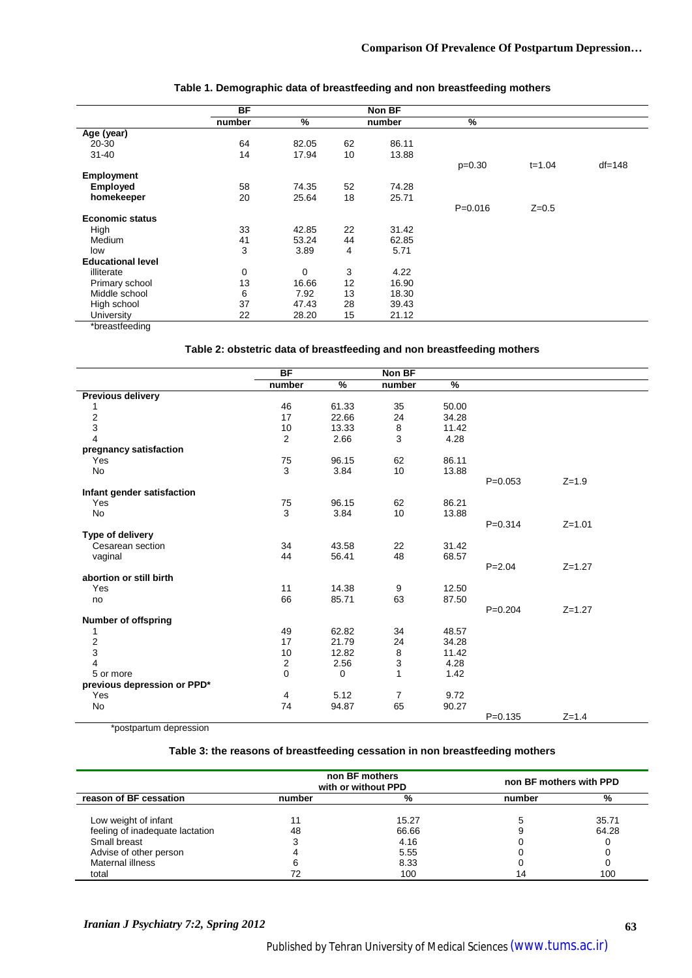|                          | BF     |             |    | Non BF |             |            |            |
|--------------------------|--------|-------------|----|--------|-------------|------------|------------|
|                          | number | %           |    | number | %           |            |            |
| Age (year)               |        |             |    |        |             |            |            |
| $20 - 30$                | 64     | 82.05       | 62 | 86.11  |             |            |            |
| $31 - 40$                | 14     | 17.94       | 10 | 13.88  |             |            |            |
|                          |        |             |    |        | $p=0.30$    | $t = 1.04$ | $df = 148$ |
| <b>Employment</b>        |        |             |    |        |             |            |            |
| <b>Employed</b>          | 58     | 74.35       | 52 | 74.28  |             |            |            |
| homekeeper               | 20     | 25.64       | 18 | 25.71  |             |            |            |
|                          |        |             |    |        | $P = 0.016$ | $Z = 0.5$  |            |
| <b>Economic status</b>   |        |             |    |        |             |            |            |
| High                     | 33     | 42.85       | 22 | 31.42  |             |            |            |
| Medium                   | 41     | 53.24       | 44 | 62.85  |             |            |            |
| low                      | 3      | 3.89        | 4  | 5.71   |             |            |            |
| <b>Educational level</b> |        |             |    |        |             |            |            |
| illiterate               | 0      | $\mathbf 0$ | 3  | 4.22   |             |            |            |
| Primary school           | 13     | 16.66       | 12 | 16.90  |             |            |            |
| Middle school            | 6      | 7.92        | 13 | 18.30  |             |            |            |
| High school              | 37     | 47.43       | 28 | 39.43  |             |            |            |
| University               | 22     | 28.20       | 15 | 21.12  |             |            |            |
| *breastfeeding           |        |             |    |        |             |            |            |

#### **Table 1. Demographic data of breastfeeding and non breastfeeding mothers**

#### **Table 2: obstetric data of breastfeeding and non breastfeeding mothers**

|                             | <b>BF</b> |       | Non BF         |       |             |            |  |
|-----------------------------|-----------|-------|----------------|-------|-------------|------------|--|
|                             | number    | %     | number         | %     |             |            |  |
| <b>Previous delivery</b>    |           |       |                |       |             |            |  |
| 1                           | 46        | 61.33 | 35             | 50.00 |             |            |  |
| $\frac{2}{3}$               | 17        | 22.66 | 24             | 34.28 |             |            |  |
|                             | 10        | 13.33 | 8              | 11.42 |             |            |  |
| $\overline{4}$              | 2         | 2.66  | 3              | 4.28  |             |            |  |
| pregnancy satisfaction      |           |       |                |       |             |            |  |
| Yes                         | 75        | 96.15 | 62             | 86.11 |             |            |  |
| No                          | 3         | 3.84  | 10             | 13.88 |             |            |  |
|                             |           |       |                |       | $P=0.053$   | $Z = 1.9$  |  |
| Infant gender satisfaction  |           |       |                |       |             |            |  |
| Yes                         | 75        | 96.15 | 62             | 86.21 |             |            |  |
| No                          | 3         | 3.84  | 10             | 13.88 |             |            |  |
|                             |           |       |                |       | $P = 0.314$ | $Z = 1.01$ |  |
| Type of delivery            |           |       |                |       |             |            |  |
| Cesarean section            | 34        | 43.58 | 22             | 31.42 |             |            |  |
| vaginal                     | 44        | 56.41 | 48             | 68.57 |             |            |  |
|                             |           |       |                |       | $P = 2.04$  | $Z = 1.27$ |  |
| abortion or still birth     |           |       |                |       |             |            |  |
| Yes                         | 11        | 14.38 | 9              | 12.50 |             |            |  |
| no                          | 66        | 85.71 | 63             | 87.50 |             |            |  |
|                             |           |       |                |       | $P=0.204$   | $Z = 1.27$ |  |
| <b>Number of offspring</b>  |           |       |                |       |             |            |  |
| 1                           | 49        | 62.82 | 34             | 48.57 |             |            |  |
| $\overline{\mathbf{c}}$     | 17        | 21.79 | 24             | 34.28 |             |            |  |
| 3                           | 10        | 12.82 | 8              | 11.42 |             |            |  |
| 4                           | 2         | 2.56  | 3              | 4.28  |             |            |  |
| 5 or more                   | 0         | 0     | $\mathbf{1}$   | 1.42  |             |            |  |
| previous depression or PPD* |           |       |                |       |             |            |  |
| Yes                         | 4         | 5.12  | $\overline{7}$ | 9.72  |             |            |  |
| No                          | 74        | 94.87 | 65             | 90.27 |             |            |  |
|                             |           |       |                |       | $P = 0.135$ | $Z = 1.4$  |  |

\*postpartum depression

#### **Table 3: the reasons of breastfeeding cessation in non breastfeeding mothers**

|                                 |        | non BF mothers<br>with or without PPD | non BF mothers with PPD |       |  |
|---------------------------------|--------|---------------------------------------|-------------------------|-------|--|
| reason of BF cessation          | number | %                                     | number                  | %     |  |
| Low weight of infant            |        | 15.27                                 |                         | 35.71 |  |
| feeling of inadequate lactation | 48     | 66.66                                 |                         | 64.28 |  |
| Small breast                    |        | 4.16                                  |                         |       |  |
| Advise of other person          |        | 5.55                                  |                         |       |  |
| Maternal illness                |        | 8.33                                  |                         |       |  |
| total                           |        | 100                                   | 14                      | 100   |  |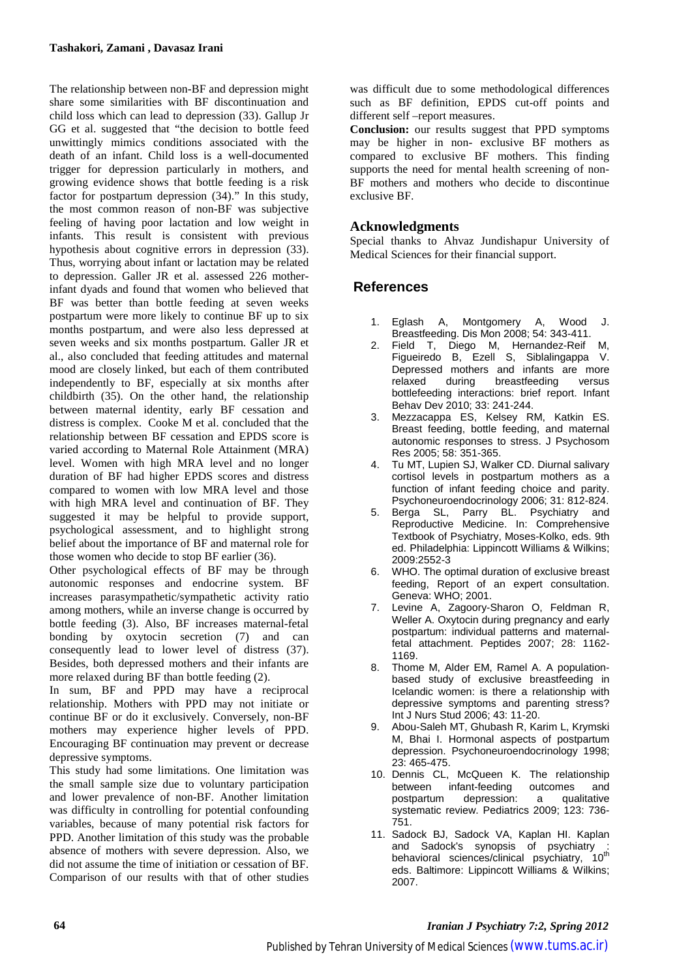The relationship between non-BF and depression might share some similarities with BF discontinuation and child loss which can lead to depression (33). Gallup Jr GG et al. suggested that "the decision to bottle feed unwittingly mimics conditions associated with the death of an infant. Child loss is a well-documented trigger for depression particularly in mothers, and growing evidence shows that bottle feeding is a risk factor for postpartum depression (34)." In this study, the most common reason of non-BF was subjective feeling of having poor lactation and low weight in infants. This result is consistent with previous hypothesis about cognitive errors in depression (33). Thus, worrying about infant or lactation may be related to depression. Galler JR et al. assessed 226 motherinfant dyads and found that women who believed that BF was better than bottle feeding at seven weeks postpartum were more likely to continue BF up to six months postpartum, and were also less depressed at seven weeks and six months postpartum. Galler JR et al., also concluded that feeding attitudes and maternal mood are closely linked, but each of them contributed independently to BF, especially at six months after childbirth (35). On the other hand, the relationship between maternal identity, early BF cessation and distress is complex. Cooke M et al. concluded that the relationship between BF cessation and EPDS score is varied according to Maternal Role Attainment (MRA) level. Women with high MRA level and no longer duration of BF had higher EPDS scores and distress compared to women with low MRA level and those with high MRA level and continuation of BF. They suggested it may be helpful to provide support, psychological assessment, and to highlight strong belief about the importance of BF and maternal role for those women who decide to stop BF earlier (36).

Other psychological effects of BF may be through autonomic responses and endocrine system. BF increases parasympathetic/sympathetic activity ratio among mothers, while an inverse change is occurred by bottle feeding (3). Also, BF increases maternal-fetal bonding by oxytocin secretion (7) and can consequently lead to lower level of distress (37). Besides, both depressed mothers and their infants are more relaxed during BF than bottle feeding (2).

In sum, BF and PPD may have a reciprocal relationship. Mothers with PPD may not initiate or continue BF or do it exclusively. Conversely, non-BF mothers may experience higher levels of PPD. Encouraging BF continuation may prevent or decrease depressive symptoms.

This study had some limitations. One limitation was the small sample size due to voluntary participation and lower prevalence of non-BF. Another limitation was difficulty in controlling for potential confounding variables, because of many potential risk factors for PPD. Another limitation of this study was the probable absence of mothers with severe depression. Also, we did not assume the time of initiation or cessation of BF. Comparison of our results with that of other studies

was difficult due to some methodological differences such as BF definition, EPDS cut-off points and different self –report measures.

**Conclusion:** our results suggest that PPD symptoms may be higher in non- exclusive BF mothers as compared to exclusive BF mothers. This finding supports the need for mental health screening of non-BF mothers and mothers who decide to discontinue exclusive BF.

#### **Acknowledgments**

Special thanks to Ahvaz Jundishapur University of Medical Sciences for their financial support.

### **References**

- 1. Eglash A, Montgomery A, Wood J. Breastfeeding. Dis Mon 2008; 54: 343-411.
- 2. Field T, Diego M, Hernandez-Reif M, Figueiredo B, Ezell S, Siblalingappa V. Depressed mothers and infants are more<br>relaxed during breastfeeding versus breastfeeding versus bottlefeeding interactions: brief report. Infant Behav Dev 2010; 33: 241-244.
- 3. Mezzacappa ES, Kelsey RM, Katkin ES. Breast feeding, bottle feeding, and maternal autonomic responses to stress. J Psychosom Res 2005; 58: 351-365.
- 4. Tu MT, Lupien SJ, Walker CD. Diurnal salivary cortisol levels in postpartum mothers as a function of infant feeding choice and parity. Psychoneuroendocrinology 2006; 31: 812-824.
- 5. Berga SL, Parry BL. Psychiatry and Reproductive Medicine. In: Comprehensive Textbook of Psychiatry, Moses-Kolko, eds. 9th ed. Philadelphia: Lippincott Williams & Wilkins; 2009:2552-3
- 6. WHO. The optimal duration of exclusive breast feeding, Report of an expert consultation. Geneva: WHO; 2001.
- 7. Levine A, Zagoory-Sharon O, Feldman R, Weller A. Oxytocin during pregnancy and early postpartum: individual patterns and maternalfetal attachment. Peptides 2007; 28: 1162- 1169.
- 8. Thome M, Alder EM, Ramel A. A populationbased study of exclusive breastfeeding in Icelandic women: is there a relationship with depressive symptoms and parenting stress? Int J Nurs Stud 2006; 43: 11-20.
- 9. Abou-Saleh MT, Ghubash R, Karim L, Krymski M, Bhai I. Hormonal aspects of postpartum depression. Psychoneuroendocrinology 1998; 23: 465-475.
- 10. Dennis CL, McQueen K. The relationship between infant-feeding outcomes and<br>postpartum depression: a qualitative depression: a systematic review. Pediatrics 2009; 123: 736- 751.
- 11. Sadock BJ, Sadock VA, Kaplan HI. Kaplan and Sadock's synopsis of psychiatry behavioral sciences/clinical psychiatry, 10<sup>th</sup> eds. Baltimore: Lippincott Williams & Wilkins; 2007.